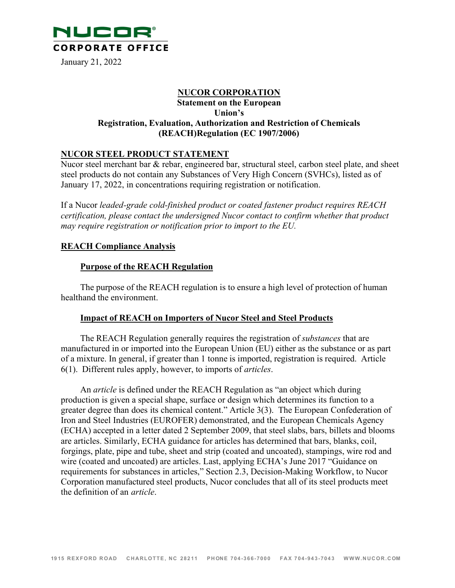

January 21, 2022

## **NUCOR CORPORATION Statement on the European Union's Registration, Evaluation, Authorization and Restriction of Chemicals (REACH) Regulation (EC 1907/2006)**

### **NUCOR STEEL PRODUCT STATEMENT**

Nucor steel merchant bar  $\&$  rebar, engineered bar, structural steel, carbon steel plate, and sheet steel products do not contain any Substances of Very High Concern (SVHCs), listed as of January 17, 2022, in concentrations requiring registration or notification.

If a Nucor *leaded-grade cold-finished product or coated fastener product requires REACH certification, please contact the undersigned Nucor contact to confirm whether that product may require registration or notification prior to import to the EU.*

### **REACH Compliance Analysis**

### **Purpose of the REACH Regulation**

The purpose of the REACH regulation is to ensure a high level of protection of human healthand the environment.

#### **Impact of REACH on Importers of Nucor Steel and Steel Products**

The REACH Regulation generally requires the registration of *substances* that are manufactured in or imported into the European Union (EU) either as the substance or as part of a mixture. In general, if greater than 1 tonne is imported, registration is required. Article 6(1). Different rules apply, however, to imports of *articles*.

An *article* is defined under the REACH Regulation as "an object which during production is given a special shape, surface or design which determines its function to a greater degree than does its chemical content." Article 3(3). The European Confederation of Iron and Steel Industries (EUROFER) demonstrated, and the European Chemicals Agency (ECHA) accepted in a letter dated 2 September 2009, that steel slabs, bars, billets and blooms are articles. Similarly, ECHA guidance for articles has determined that bars, blanks, coil, forgings, plate, pipe and tube, sheet and strip (coated and uncoated), stampings, wire rod and wire (coated and uncoated) are articles. Last, applying ECHA's June 2017 "Guidance on requirements for substances in articles," Section 2.3, Decision-Making Workflow, to Nucor Corporation manufactured steel products, Nucor concludes that all of its steel products meet the definition of an *article*.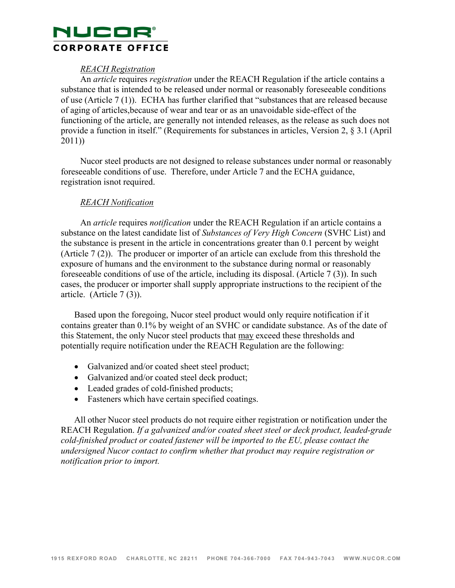# NUCOR® **CORPORATE OFFICE**

## *REACH Registration*

An *article* requires *registration* under the REACH Regulation if the article contains a substance that is intended to be released under normal or reasonably foreseeable conditions of use (Article 7 (1)). ECHA has further clarified that "substances that are released because of aging of articles, because of wear and tear or as an unavoidable side-effect of the functioning of the article, are generally not intended releases, as the release as such does not provide a function in itself." (Requirements for substances in articles, Version 2, § 3.1 (April 2011))

Nucor steel products are not designed to release substances under normal or reasonably foreseeable conditions of use. Therefore, under Article 7 and the ECHA guidance, registration is not required.

## *REACH Notification*

An *article* requires *notification* under the REACH Regulation if an article contains a substance on the latest candidate list of *Substances of Very High Concern* (SVHC List) and the substance is present in the article in concentrations greater than 0.1 percent by weight (Article 7 (2)). The producer or importer of an article can exclude from this threshold the exposure of humans and the environment to the substance during normal or reasonably foreseeable conditions of use of the article, including its disposal. (Article 7 (3)). In such cases, the producer or importer shall supply appropriate instructions to the recipient of the article. (Article 7 (3)).

Based upon the foregoing, Nucor steel product would only require notification if it contains greater than 0.1% by weight of an SVHC or candidate substance. As of the date of this Statement, the only Nucor steel products that may exceed these thresholds and potentially require notification under the REACH Regulation are the following:

- Galvanized and/or coated sheet steel product;
- Galvanized and/or coated steel deck product;
- Leaded grades of cold-finished products;
- Fasteners which have certain specified coatings.

All other Nucor steel products do not require either registration or notification under the REACH Regulation. *If a galvanized and/or coated sheet steel or deck product, leaded-grade cold-finished product or coated fastener will be imported to the EU, please contact the undersigned Nucor contact to confirm whether that product may require registration or notification prior to import.*